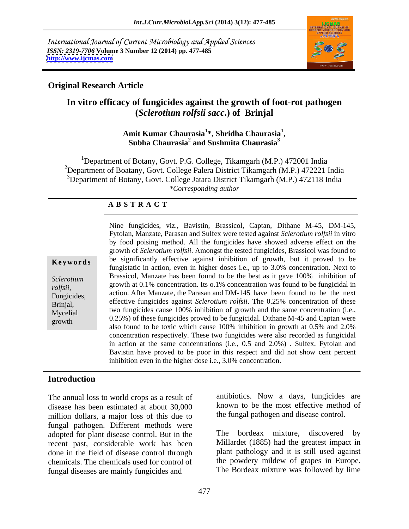International Journal of Current Microbiology and Applied Sciences *ISSN: 2319-7706* **Volume 3 Number 12 (2014) pp. 477-485 <http://www.ijcmas.com>**



### **Original Research Article**

# **In vitro efficacy of fungicides against the growth of foot-rot pathogen (***Sclerotium rolfsii sacc***.) of Brinjal**

#### **Amit Kumar Chaurasia<sup>1</sup> \*, Shridha Chaurasia<sup>1</sup>** mit Kumar Chaurasia<sup>1</sup>\*, Shridha Chaurasia<sup>1</sup>,<br>Subha Chaurasia<sup>2</sup> and Sushmita Chaurasia<sup>3</sup> **and Sushmita Chaurasia<sup>3</sup>**

<sup>1</sup>Department of Botany, Govt. P.G. College, Tikamgarh (M.P.) 472001 India <sup>2</sup>Department of Boatany, Govt. College Palera District Tikamgarh (M.P.) 472221 India <sup>3</sup>Department of Botany, Govt. College Jatara District Tikamgarh (M.P.) 472118 India *\*Corresponding author* 

#### **A B S T R A C T**

**Keywords** be significantly effective against inhibition of growth, but it proved to be *Sclerotium*  Brassicol, Manzate has been found to be the best as it gave 100% inhibition of *rolfsii,* growth at 0.1% concentration. Its 0.1% concentration was found to be fungicidal in Fungicides, action. After Manzate, the Parasan and DM-145 have been found to be the next effective fungicides against *Sclerotium rolfsii*. The 0.25% concentration of these<br>Brinjal,  $Myeelial$  two fungicides cause 100% inhibition of growth and the same concentration (i.e.,  $(0.25\%)$  of these fungicides proved to be fungicidal. Dithane M-45 and Captan were Nine fungicides, viz., Bavistin, Brassicol, Captan, Dithane M-45, DM-145, Fytolan, Manzate, Parasan and Sulfex were tested against *Sclerotium rolfsii* in vitro by food poising method. All the fungicides have showed adverse effect on the growth of *Sclerotium rolfsii*. Amongst the tested fungicides, Brassicol was found to fungistatic in action, even in higher doses i.e., up to 3.0% concentration. Next to also found to be toxic which cause 100% inhibition in growth at 0.5% and 2.0% concentration respectively. These two fungicides were also recorded as fungicidal in action at the same concentrations (i.e., 0.5 and 2.0%) . Sulfex, Fytolan and Bavistin have proved to be poor in this respect and did not show cent percent inhibition even in the higher dose i.e., 3.0% concentration.

### **Introduction**

The annual loss to world crops as a result of disease has been estimated at about 30,000 million dollars, a major loss of this due to fungal pathogen. Different methods were<br>adopted for plant disease control. But in the The adopted for plant disease control. But in the recent past, considerable work has been done in the field of disease control through chemicals. The chemicals used for control of fungal diseases are mainly fungicides and

antibiotics. Now a days, fungicides are known to be the most effective method of the fungal pathogen and disease control.

bordeax mixture, discovered by Millardet (1885) had the greatest impact in plant pathology and it is still used against the powdery mildew of grapes in Europe. The Bordeax mixture was followed by lime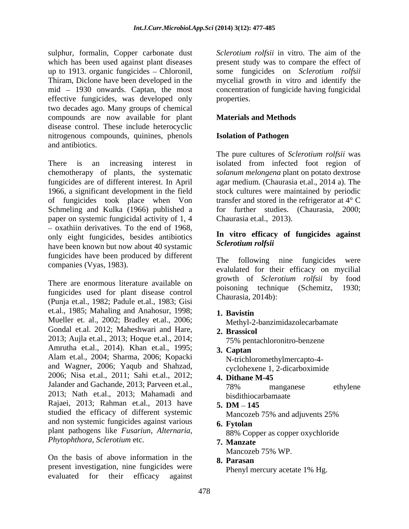sulphur, formalin, Copper carbonate dust which has been used against plant diseases up to 1913. organic fungicides  $-$  Chloronil, Thiram, Diclone have been developed in the mycelial growth in vitro and identify the mid – 1930 onwards. Captan, the most concentration of fungicide having fungicidal effective fungicides, was developed only two decades ago. Many groups of chemical compounds are now available for plant disease control. These include heterocyclic nitrogenous compounds, quinines, phenols and antibiotics.

There is an increasing interest in isolated from infected foot region of chemotherapy of plants, the systematic *solanum melongena* plant on potato dextrose fungicides are of different interest. In April 1966, a significant development in the field stock cultures were maintained by periodic of fungicides took place when Von transfer and stored in the refrigerator at 4° C Schmeling and Kulka (1966) published a paper on systemic fungicidal activity of 1, 4  $-$  oxathiin derivatives. To the end of 1968, only eight fungicides, besides antibiotics have been known but now about 40 systamic fungicides have been produced by different<br>The following nine fungicides were

fungicides used for plant disease control (Punja et.al., 1982; Padule et.al., 1983; Gisi et.al., 1985; Mahaling and Anahosur, 1998; Mueller et. al., 2002; Bradley et.al., 2006; Gondal et.al. 2012; Maheshwari and Hare, 2. Brassicol 2013; Aujla et.al., 2013; Hoque et.al., 2014; Amrutha et.al., 2014). Khan et.al., 1995; 3. Captan Alam et.al., 2004; Sharma, 2006; Kopacki and Wagner, 2006; Yaqub and Shahzad, 2006; Nisa et.al., 2011; Sahi et.al., 2012; **4. Dithane M-45** Jalander and Gachande, 2013; Parveen et.al.,  $\frac{78\%}{78\%}$  manganese ethylene 2013; Nath et.al., 2013; Mahamadi and Rajaei, 2013; Rahman et.al., 2013 have 5. DM - 145 studied the efficacy of different systemic Mancozeb 75% and adjuvents 25% and non systemic fungicides against various **6. Fytolan** plant pathogens like *Fusariun*, *Alternaria, Phytophthora, Sclerotium* etc.

On the basis of above information in the 8. Parasan present investigation, nine fungicides were evaluated for their efficacy against

*Sclerotium rolfsii* in vitro. The aim of the present study was to compare the effect of some fungicides on *Sclerotium rolfsii* properties.

### **Materials and Methods**

### **Isolation of Pathogen**

The pure cultures of *Sclerotium rolfsii* was agar medium. (Chaurasia et.al., 2014 a). The for further studies. (Chaurasia, 2000; Chaurasia et.al., 2013).

#### **In vitro efficacy of fungicides against** *Sclerotium rolfsii*

companies (Vyas, 1983). evalulated for their efficacy on mycilial There are enormous literature available on the poisoning technique (Schemitz, 1930; The following nine fungicides growth of *Sclerotium rolfsii* by food poisoning technique (Schemitz, 1930; Chaurasia, 2014b):

**1. Bavistin**

Methyl-2-banzimidazolecarbamate

- **2. Brassicol** 75% pentachloronitro-benzene
- **3. Captan** N-trichloromethylmercapto-4 cyclohexene 1, 2-dicarboximide
- **4. Dithane M-45** 78% manganese ethylene bisdithiocarbamaate bisdithiocarbamaate
- **5. DM 145** Mancozeb 75% and adjuvents 25%
- **6. Fytolan** 88% Copper as copper oxychloride
- **7. Manzate** Mancozeb 75% WP.
- **8. Parasan** Phenyl mercury acetate 1% Hg.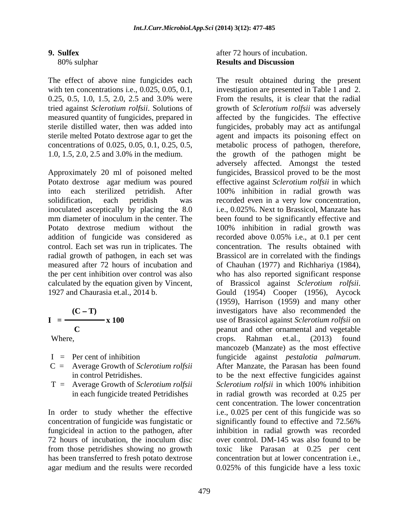0.25, 0.5, 1.0, 1.5, 2.0, 2.5 and 3.0% were

Potato dextrose agar medium was poured inoculated asceptically by placing the 8.0 radial growth of pathogen, in each set was calculated by the equation given by Vincent, of Brassicol against Sclerotium rolfsii. 1927 and Chaurasia et.al., 2014 b.

$$
I = \frac{(C-T)}{C} \times 100
$$

- 
- 
- 

concentration of fungicide was fungistatic or significantly found to effective and 72.56% from those petridishes showing no growth

#### **9. Sulfex** 80% sulphar **Results and Discussion** after 72 hours of incubation. **Results and Discussion**

The effect of above nine fungicides each The result obtained during the present with ten concentrations i.e., 0.025, 0.05, 0.1, investigation are presented in Table 1 and 2. tried against *Sclerotium rolfsii*. Solutions of growth of *Sclerotium rolfsii* was adversely measured quantity of fungicides, prepared in affected by the fungicides. The effective sterile distilled water, then was added into fungicides, probably may act as antifungal sterile melted Potato dextrose agar to get the agent and impacts its poisoning effect on concentrations of 0.025, 0.05, 0.1, 0.25, 0.5, metabolic process of pathogen, therefore, 1.0, 1.5, 2.0, 2.5 and 3.0% in the medium. the growth of the pathogen might be Approximately 20 ml of poisoned melted fungicides, Brassicol proved to be the most into each sterilized petridish. After 100% inhibition in radial growth was solidification, each petridish was recorded even in a very low concentration, mm diameter of inoculum in the center. The been found to be significantly effective and Potato dextrose medium without the 100% inhibition in radial growth was addition of fungicide was considered as recorded above 0.05% i.e., at 0.1 per cent control. Each set was run in triplicates. The concentration. The results obtained with measured after 72 hours of incubation and of Chauhan (1977) and Richhariya (1984), the per cent inhibition over control was also who has also reported significant response **(C T)** investigators have also recommended the **I** =  $\rightarrow \textbf{x}$  **100** use of Brassicol against *Sclerotium rolfsii* on **C C C Peanut** and other ornamental and vegetable Where, Chambridge Crops. Rahman et.al., (2013) found I = Per cent of inhibition fungicide against *pestalotia palmarum*. C = Average Growth of *Sclerotium rolfsii* in control Petridishes. to be the next effective fungicides against T = Average Growth of *Sclerotium rolfsii* in each fungicide treated Petridishes in radial growth was recorded at 0.25 per In order to study whether the effective i.e., 0.025 per cent of this fungicide was so fungicideal in action to the pathogen, after inhibition in radial growth was recorded 72 hours of incubation, the inoculum disc over control. DM-145 was also found to be has been transferred to fresh potato dextrose concentration but at lower concentration i.e., agar medium and the results were recorded 0.025% of this fungicide have a less toxic From the results, it is clear that the radial adversely affected. Amongst the tested effective against *Sclerotium rolfsii* in which i.e., 0.025%. Next to Brassicol, Manzate has Brassicol are in correlated with the findings of Brassicol against *Sclerotium rolfsii*. Gould (1954) Cooper (1956), Aycock (1959), Harrison (1959) and many other crops. Rahman et.al., (2013) found mancozeb (Manzate) as the most effective fungicide against *pestalotia palmarum*. After Manzate, the Parasan has been found *Sclerotium rolfsii* in which 100% inhibition cent concentration. The lower concentration significantly found to effective and 72.56% toxic like Parasan at 0.25 per cent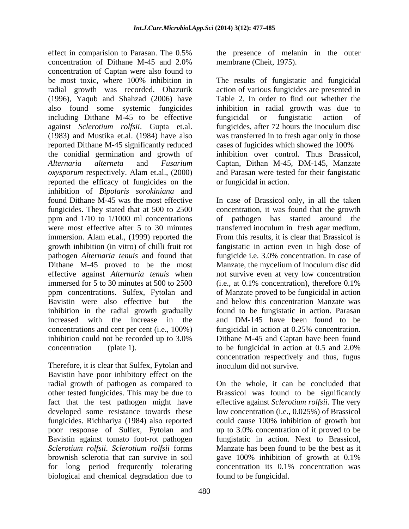effect in comparision to Parasan. The 0.5% concentration of Dithane M-45 and 2.0% concentration of Captan were also found to be most toxic, where 100% inhibition in The results of fungistatic and fungicidal radial growth was recorded. Ohazurik (1996), Yaqub and Shahzad (2006) have also found some systemic fungicides inhibition in radial growth was due to including Dithane M-45 to be effective fungicidal or fungistatic action of against *Sclerotium rolfsii*. Gupta et.al. (1983) and Mustika et.al. (1984) have also was transferred in to fresh agar only in those reported Dithane M-45 significantly reduced the conidial germination and growth of inhibition over control. Thus Brassicol, *Alternaria alterneta* and *Fusarium*  Captan, Dithan M-45, DM-145, Manzate *oxysporum* respectively. Alam et.al., (2000) and Parasan were tested for their fangistatic reported the efficacy of fungicides on the inhibition of *Bipolaris sorokiniana* and immersion. Alam et.al., (1999) reported the immersed for 5 to 30 minutes at 500 to 2500 (i.e., at 0.1% concentration), therefore 0.1% inhibition in the radial growth gradually concentrations and cent per cent (i.e., 100%) fungicidal in action at 0.25% concentration.

Therefore, it is clear that Sulfex, Fytolan and Bavistin have poor inhibitory effect on the radial growth of pathogen as compared to fact that the test pathogen might have brownish sclerotia that can survive in soil biological and chemical degradation due to

the presence of melanin in the outer membrane (Cheit, 1975).

action of various fungicides are presented in Table 2. In order to find out whether the fungicidal or fungistatic action of fungicides, after 72 hours the inoculum disc cases of fugicides which showed the 100% or fungicidal in action.

found Dithane M-45 was the most effective In case of Brassicol only, in all the taken fungicides. They stated that at 500 to 2500 concentration, it was found that the growth ppm and 1/10 to 1/1000 ml concentrations of pathogen has started around the were most effective after 5 to 30 minutes transferred inoculum in fresh agar medium. growth inhibition (in vitro) of chilli fruit rot fangistatic in action even in high dose of pathogen *Alternaria tenuis* and found that fungicide i.e. 3.0% concentration. In case of Dithane M-45 proved to be the most Manzate, the mycelium of inoculum disc did effective against *Alternaria tenuis* when not survive even at very low concentration ppm concentrations. Sulfex, Fytolan and of Manzate proved to be fungicidal in action Bavistin were also effective but the and below this concentration Manzate was increased with the increase in the and DM-145 have been found to be inhibition could not be recorded up to 3.0% Dithane M-45 and Captan have been found concentration (plate 1). to be fungicidal in action at 0.5 and 2.0% From this results, it is clear that Brassicol is (i.e., at 0.1% concentration), therefore 0.1% found to be fungistatic in action. Parasan fungicidal in action at 0.25% concentration. Dithane M-45 and Captan have been found concentration respectively and thus, fugus inoculum did not survive.

other tested fungicides. This may be due to Brassicol was found to be significantly developed some resistance towards these low concentration (i.e., 0.025%) of Brassicol fungicides. Richhariya (1984) also reported could cause 100% inhibition of growth but poor response of Sulfex, Fytolan and up to 3.0% concentration of it proved to be Bavistin against tomato foot-rot pathogen fungistatic in action. Next to Brassicol, *Sclerotium rolfsii*. *Sclerotium rolfsii* forms Manzate has been found to be the best as it for long period frequrently tolerating concentration its 0.1% concentration was On the whole, it can be concluded that effective against *Sclerotium rolfsii*. The very gave 100% inhibition of growth at 0.1% found to be fungicidal.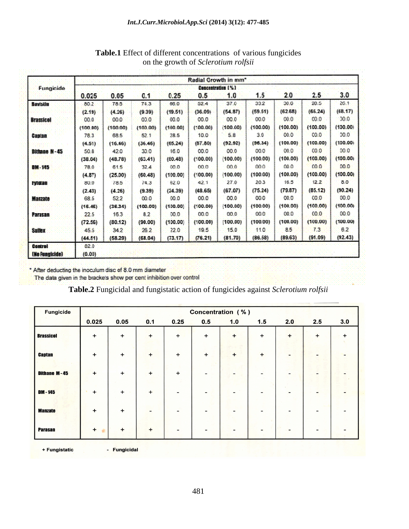| Fungicide             | Radial Growth in mm <sup>*</sup> |          |          |          |          |          |          |          |                 |          |  |
|-----------------------|----------------------------------|----------|----------|----------|----------|----------|----------|----------|-----------------|----------|--|
|                       | Concentration [%]                |          |          |          |          |          |          |          |                 |          |  |
|                       | 0.025                            | 0.05     | 0.1      | 0.25     | 0.5      | 330      | 1.5      | 20       | 2.5             | 3.0      |  |
| Baststin              | 80.2                             | 78.5     | 74.3     | 66.0     | 52.4     | 37.0     | 33.2     | 30.0     | 20.5            | 20.1     |  |
|                       | (2.19)                           | (4.26)   | (9.39)   | (19.51)  | (36.09)  | (54.87)  | (59.51)  | (62.68)  | (65.24)         | (68, 17) |  |
| <b>Brassicol</b>      | 00.0                             | 00.0     | 00.0     | 00.0     | 00.0     | 00.0     | 00.0     | 00.0     | 0.00            | 0.01     |  |
|                       | (100.00)                         | (100,00) | (100,00) | (100.00) | (100.00) | (100.00) | (100.00) | (100.00) | (100,00)        | (100.00) |  |
| Captan                | 78.3                             | 68.5     | 52.1     | 28.5     | 10.0     | 5.8      | 3.0      | 00.0     | 00.01           | 0.01     |  |
|                       | (4.51)                           | (16.46)  | (36.46)  | (65.24)  | (67.80)  | (92.92)  | (96.34)  | (100.00) | (100.00)        | (100.00) |  |
| <b>Ditione N - 45</b> | 50.8                             | 42.0     | 30.0     | 16.0     | 00.0     | 00.0     | 00.0     | 00.0     | CO.0            | 00.0     |  |
|                       | (38.04)                          | (48.78)  | (63,41)  | (00.48)  | (100.00) | (100.00) | (100.00) | (100.00) | (100.00)        | (100.00) |  |
| <b>DIN 145</b>        | 78.0                             | 61.5     | 32.4     | 00.0     | 00.0     | 00.0     | 000      | 00.0     | 000             | 00.0     |  |
|                       | (4.87)                           | (25.00)  | (60.48)  | (100.00) | (100.00) | (100.00) | (100.00) | (100.00) | (100.00)        | (100.00) |  |
| <b>Fylatan</b>        | 80.0                             | 78.5     | 74.3     | 62.0     | 42.1     | 27.0     | 203      | 16.5     | 12.2            | 5.0      |  |
|                       | (2.43)                           | (4.26)   | (9.39)   | (24.39)  | (48.65)  | (67.07)  | (75.24)  | (79.87)  | (85, 12)        | (90.24)  |  |
| <b>Manzate</b>        | 68.5                             | 52.2     | 00.0     | 00.0     | 00.0     | 00.0     | 00.0     | 00.0     | CO <sub>i</sub> | 00.0     |  |
|                       | (16.46)                          | (36.34)  | (100.00) | (100.00) | (100.00) | (100.00) | (100.00) | (100.00) | (100.00)        | (100.00) |  |
| Parasan               | 22.5                             | 16.3     | 82       | 00.0     | 00.0     | 00.0     | 000      | 00.0     | 0.0             | 00.0     |  |
|                       | (72.56)                          | (80.12)  | (90.00)  | (100.00) | (100.00) | (100.00) | (100.00) | (100.00) | (100.00)        | (100.00) |  |
| <b>Sullex</b>         | 45.5                             | 34.2     | 26.2     | 22.0.    | 19.5     | 15.0     | 11.0     | 85       | 73              | 62       |  |
|                       | (44.51)                          | (58.29)  | (63.04)  | (73.17)  | (76.21)  | (81.70)  | (86.58)  | (89.63)  | (91.09)         | (92.43)  |  |
| <b>Control</b>        | 82.0                             |          |          |          |          |          |          |          |                 |          |  |
| <b>(No Fungicide)</b> | (0.00)                           |          |          |          |          |          |          |          |                 |          |  |

## **Table.1** Effect of different concentrations of various fungicides on the growth of *Sclerotium rolfsii*

\* After deducting the inoculum disc of 8.0 mm diameter

The data given in the brackets show per cent inhibition over control

**Table.2** Fungicidal and fungistatic action of fungicides against *Sclerotium rolfsii*

| <b>Fungicide</b>    | <b>Concentration (%)</b> |           |                              |           |           |     |     |     |                |           |
|---------------------|--------------------------|-----------|------------------------------|-----------|-----------|-----|-----|-----|----------------|-----------|
|                     | 0.025                    | 0.05      | 0.1                          | 0.25      | 0.5       | 1.0 | 1.5 | 2.0 | 2.5            | 3.0       |
| <b>Brassicol</b>    | $\ddot{}$                | $\ddot{}$ | $+$                          | $+$       | $\ddot{}$ | $+$ | +   | $+$ | $+$            | $\ddot{}$ |
| <b>Captan</b>       | $\ddot{}$                | +         | $+$                          | $+$       | $+$       | $+$ | $+$ | -   |                |           |
| <b>Dithane M-45</b> | $\ddot{}$                | $\ddot{}$ | $+$                          | $\ddot{}$ |           |     |     | -   |                |           |
| DM-145              | $+$                      | $\ddot{}$ | $+$                          |           |           |     |     |     |                |           |
| <b>Manzate</b>      | $+$                      | $\ddot{}$ | $\qquad \qquad \blacksquare$ | -         |           |     |     | -   | $\overline{ }$ |           |
| <b>Parasan</b>      | $\ddot{}$                | $\ddot{}$ | $+$                          |           |           |     |     |     | ۰              |           |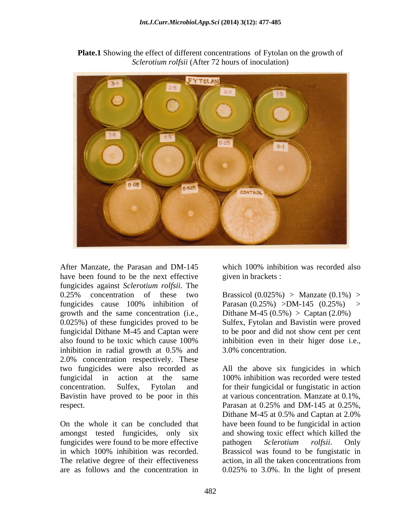

**Plate.1** Showing the effect of different concentrations of Fytolan on the growth of *Sclerotium rolfsii* (After 72 hours of inoculation)

After Manzate, the Parasan and DM-145 which 100% inhibition was recorded also have been found to be the next effective fungicides against *Sclerotium rolfsii*. The 0.25% concentration of these two Brassicol  $(0.025%)$  Manzate  $(0.1%)$  > fungicides cause  $100\%$  inhibition of Parasan  $(0.25\%)$  >DM-145  $(0.25\%)$  > growth and the same concentration (i.e., 0.025%) of these fungicides proved to be Sulfex, Fytolan and Bavistin were proved fungicidal Dithane M-45 and Captan were to be poor and did not show cent per cent also found to be toxic which cause 100% inhibition in radial growth at 0.5% and 2.0% concentration respectively. These two fungicides were also recorded as All the above six fungicides in which fungicidal in action at the same 100% inhibition was recorded were tested concentration. Sulfex, Fytolan and for their fungicidal or fungistatic in action Bavistin have proved to be poor in this respect. Parasan at 0.25% and DM-145 at 0.25%,

On the whole it can be concluded that have been found to be fungicidal in action amongst tested fungicides, only six and showing toxic effect which killed the fungicides were found to be more effective buttogen Sclerotium rolfsii. Only in which 100% inhibition was recorded. Brassicol was found to be fungistatic in The relative degree of their effectiveness action, in all the taken concentrations from

which 100% inhibition was recorded also given in brackets :

Parasan  $(0.25\%) > DM-145$   $(0.25\%)$ Dithane M-45  $(0.5\%) > \text{Captan}(2.0\%)$ inhibition even in their higer dose i.e., 3.0% concentration.

are as follows and the concentration in 0.025% to 3.0%. In the light of presentat various concentration. Manzate at 0.1%, Parasan at 0.25% and DM-145 at 0.25%, Dithane M-45 at 0.5% and Captan at 2.0% pathogen *Sclerotium rolfsii*. Only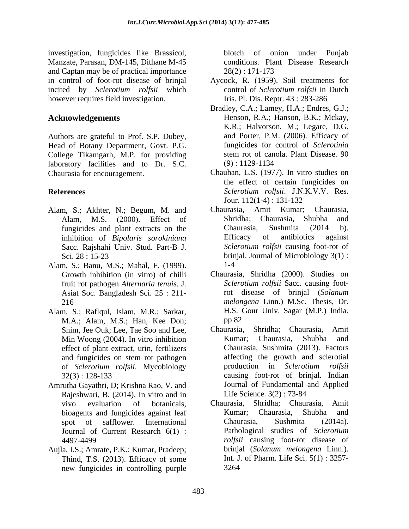investigation, fungicides like Brassicol, Manzate, Parasan, DM-145, Dithane M-45 and Captan may be of practical importance  $28(2): 171-173$ in control of foot-rot disease of brinjal Aycock, R. (1959). Soil treatments for incited by *Sclerotium rolfsii* which however requires field investigation.

Authors are grateful to Prof. S.P. Dubey, Head of Botany Department, Govt. P.G.<br>
College Tikamgarh, M.P. for providing stem rot of canola. Plant Disease. 90 College Tikamgarh, M.P. for providing stem rot of can<br>laboratory facilities and to Dr S C (9):1129-1134 laboratory facilities and to Dr. S.C. Chaurasia for encouragement. Chauhan, L.S. (1977). In vitro studies on

- Alam, S.; Akhter, N.; Begum, M. and Chaurasia, Amit Kumar; Chaurasia,
- Alam, S.; Banu, M.S.; Mahal, F. (1999). Asiat Soc. Bangladesh Sci. 25 : 211-
- Alam, S.; Raflqul, Islam, M.R.; Sarkar, H.S. C.<br>M.A.: Alam, M.S.: Han. Kee Don: pp 82 M.A.; Alam, M.S.; Han, Kee Don; effect of plant extract, urin, fertilizers
- Amrutha Gayathri, D; Krishna Rao, V. and Rajeshwari, B. (2014). In vitro and in Life Science. 3(2): 73-84 Journal of Current Research 6(1) :
- Thind, T.S. (2013). Efficacy of some new fungicides in controlling purple

blotch of onion under Punjab conditions. Plant Disease Research 28(2) : 171-173

- control of *Sclerotium rolfsii* in Dutch Iris. Pl. Dis. Reptr. 43 : 283-286
- **Acknowledgements** Henson, R.A.; Hanson, B.K.; Mckay, Bradley, C.A.; Lamey, H.A.; Endres, G.J.; K.R.; Halvorson, M.; Legare, D.G. and Porter, P.M. (2006). Efficacy of fungicides for control of *Sclerotinia* stem rot of canola. Plant Disease. 90 (9) : 1129-1134
- **References** *Sclerotium rolfsii*. J.N.K.V.V. Res. the effect of certain fungicides on Jour. 112(1-4) : 131-132
	- Alam, M.S. (2000). Effect of fungicides and plant extracts on the Chaurasia, Sushmita (2014 b). inhibition of *Bipolaris sorokiniana* Sacc. Rajshahi Univ. Stud. Part-B J. Sclerotium rolfsii causing foot-rot of Sci. 28 : 15-23 brinjal. Journal of Microbiology 3(1) : Chaurasia, Amit Kumar; Shridha; Chaurasia, Shubha and Chaurasia, Sushmita (2014 b). Efficacy of antibiotics against *Sclerotium rolfsii* causing foot-rot of 1-4
	- Growth inhibition (in vitro) of chilli Chaurasia, Shridha (2000). Studies on fruit rot pathogen *Alternaria tenuis*. J. 216 *melongena* Linn.) M.Sc. Thesis, Dr. *Sclerotium rolfsii* Sacc. causing footrot disease of brinjal (*Solanum*  H.S. Gour Univ. Sagar (M.P.) India. pp 82
	- Shim, Jee Ouk; Lee, Tae Soo and Lee, Chaurasia, Shridha; Chaurasia, Amit Min Woong (2004). In vitro inhibition Kumar; Chaurasia, Shubha and and fungicides on stem rot pathogen affecting the growth and sclerotial of *Sclerotium rolfsii*. Mycobiology 32(3) : 128-133 causing foot-rot of brinjal. Indian Shridha; Chaurasia, Kumar; Chaurasia, Shubha and Chaurasia, Sushmita (2013). Factors affecting the growth and sclerotial production in *Sclerotium rolfsii* Journal of Fundamental and Applied Life Science. 3(2) : 73-84
- vivo evaluation of botanicals, Chaurasia, Shridha; Chaurasia, Amit bioagents and fungicides against leaf Kumar; Chaurasia, Shubha and spot of safflower. International Chaurasia, Sushmita (2014a). 4497-4499 *rolfsii* causing foot-rot disease of Aujla, I.S.; Amrate, P.K.; Kumar, Pradeep; brinjal (Solanum melongena Linn.). Kumar; Chaurasia, Shubha and Chaurasia, Sushmita (2014a). Pathological studies of *Sclerotium*  brinjal (*Solanum melongena* Linn.). Int. J. of Pharm. Life Sci. 5(1) : 3257- 3264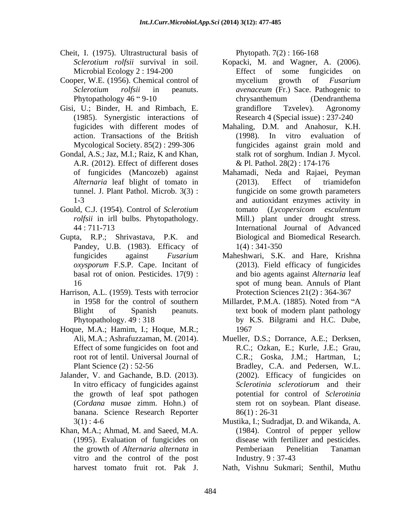- Cheit, I. (1975). Ultrastructural basis of
- Cooper, W.E. (1956). Chemical control of mycelium growth of Fusarium
- Gisi, U.; Binder, H. and Rimbach, E. Transmulture and Tzvelev). Agronomy (1985). Synergistic interactions of action. Transactions of the British
- Gondal, A.S.; Jaz, M.I.; Raiz, K and Khan, A.R. (2012). Effect of different doses
- Gould, C.J. (1954). Control of *Sclerotium rolfsii* in irll bulbs. Phytopathology.
- Pandey, U.B. (1983). Efficacy of 1(4): 341-350
- Harrison, A.L. (1959). Tests with terrocior
- Hoque, M.A.; Hamim, I.; Hoque, M.R.;
- Jalander, V. and Gachande, B.D. (2013). In vitro efficacy of fungicides against banana. Science Research Reporter
- Khan, M.A.; Ahmad, M. and Saeed, M.A. (1984). Control of pepper yellow vitro and the control of the post Industry. 9:37-43

Phytopath. 7(2) : 166-168

- *Sclerotium rolfsii* survival in soil. Kopacki, M. and Wagner, A. (2006). Microbial Ecology 2:194-200 Effect of some fungicides on *Sclerotium rolfsii* in peanuts. *avenaceum* (Fr.) Sace. Pathogenic to Phytopathology 46 "9-10 chrysanthemum (Dendranthema Effect of some fungicides on mycelium growth of *Fusarium*  chrysanthemum (Dendranthema grandiflore Tzvelev). Agronomy Research 4 (Special issue) : 237-240
- fugicides with different modes of Mahaling, D.M. and Anahosur, K.H. Mycological Society. 85(2) : 299-306 fungicides against grain mold and (1998). In vitro evaluation of stalk rot of sorghum. Indian J. Mycol. & Pl. Pathol. 28(2) : 174-176
- of fungicides (Mancozeb) against Mahamadi, Neda and Rajaei, Peyman *Alternaria* leaf blight of tomato in (2013). Effect of triamidefon tunnel. J. Plant Pathol. Microb. 3(3) : fungicide on some growth parameters 1-3 and autioxidant enzymes activity in 44 : 711-713 International Journal of Advanced Gupta, R.P.; Shrivastava, P.K. and Biological and Biomedical Research. (2013). Effect of triamidefon tomato (*Lycopersicom esculentum* Mill.) plant under drought stress. 1(4) : 341-350
	- fungicides against *Fusarium*  Maheshwari, S.K. and Hare, Krishna *oxysporum* F.S.P. Cape. Incitant of (2013). Field efficacy of fungicides basal rot of onion. Pesticides. 17(9) : and bio agents against *Alternaria* leaf 16 spot of mung bean. Annuls of Plant Protection Sciences 21(2) : 364-367
	- in 1958 for the control of southern Millardet, P.M.A. (1885). Noted from "A Blight of Spanish peanuts. text book of modern plant pathology Phytopathology. 49 : 318 by K.S. Bilgrami and H.C.Dube, Millardet, P.M.A. (1885). Noted from "A 1967
	- Ali, M.A.; Ashrafuzzaman, M. (2014). Mueller, D.S.; Dorrance, A.E.; Derksen, Effect of some fungicides on foot and R.C.; Ozkan, E.; Kurle, J.E.; Grau, root rot of lentil. Universal Journal of C.R.; Goska, J.M.; Hartman, L; Plant Science (2) : 52-56 Bradley, C.A. and Pedersen, W.L. the growth of leaf spot pathogen potential for control of *Sclerotinia* (*Cordana musae* zimm. Hohn.) of stem rot on soybean. Plant disease. (2002). Efficacy of fungicides on *Sclerotinia sclerotiorum* and their  $86(1): 26-31$
	- 3(1) : 4-6 Mustika, I.; Sudradjat, D. and Wikanda, A. (1995). Evaluation of fungicides on disease with fertilizer and pesticides. the growth of *Alternaria alternata* in (1984). Control of pepper yellow Pemberiaan Penelitian Tanaman Industry. 9 : 37-43
	- harvest tomato fruit rot. Pak J. Nath, Vishnu Sukmari; Senthil, Muthu